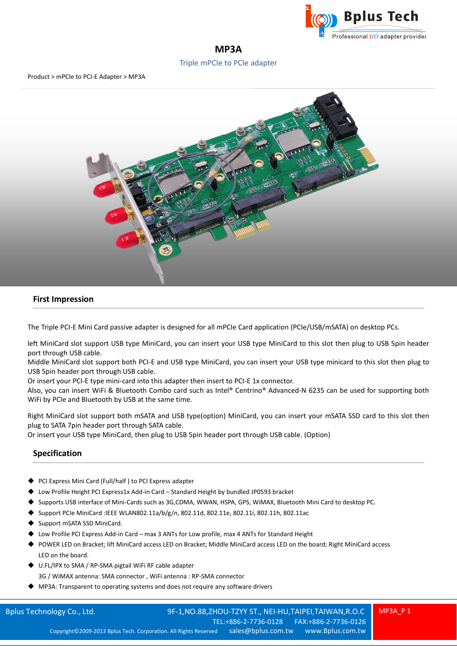

# **MP3A**

## Triple mPCIe to PCIe adapter

Product > mPCIe to PCI-E Adapter > MP3A



### **First Impression**

The Triple PCI-E Mini Card passive adapter is designed for all mPCIe Card application (PCIe/USB/mSATA) on desktop PCs.

left MiniCard slot support USB type MiniCard, you can insert your USB type MiniCard to this slot then plug to USB 5pin header port through USB cable.

Middle MiniCard slot support both PCI-E and USB type MiniCard, you can insert your USB type minicard to this slot then plug to USB 5pin header port through USB cable.

Or insert your PCI-E type mini-card into this adapter then insert to PCI-E 1x connector.

Also, you can insert WiFi & Bluetooth Combo card such as Intel® Centrino® Advanced-N 6235 can be used for supporting both WiFi by PCIe and Bluetooth by USB at the same time.

Right MiniCard slot support both mSATA and USB type(option) MiniCard, you can insert your mSATA SSD card to this slot then plug to SATA 7pin header port through SATA cable.

Or insert your USB type MiniCard, then plug to USB 5pin header port through USB cable. (Option)

## **Specification**

- PCI Express Mini Card (Full/half ) to PCI Express adapter
- Low Profile Height PCI Express1x Add-in Card Standard Height by bundled JP0593 bracket
- Supports USB interface of Mini-Cards such as 3G,CDMA, WWAN, HSPA, GPS, WiMAX, Bluetooth Mini Card to desktop PC.
- Support PCIe MiniCard :IEEE WLAN802.11a/b/g/n, 802.11d, 802.11e, 802.11i, 802.11h, 802.11ac
- Support mSATA SSD MiniCard.
- Low Profile PCI Express Add-in Card max 3 ANTs for Low profile, max 4 ANTs for Standard Height
- POWER LED on Bracket; lift MiniCard access LED on Bracket; Middle MiniCard access LED on the board; Right MiniCard access LED on the board.
- ◆ U.FL/IPX to SMA / RP-SMA pigtail WiFi RF cable adapter 3G / WiMAX antenna: SMA connector , WiFi antenna : RP-SMA connector
- MP3A: Transparent to operating systems and does not require any software drivers